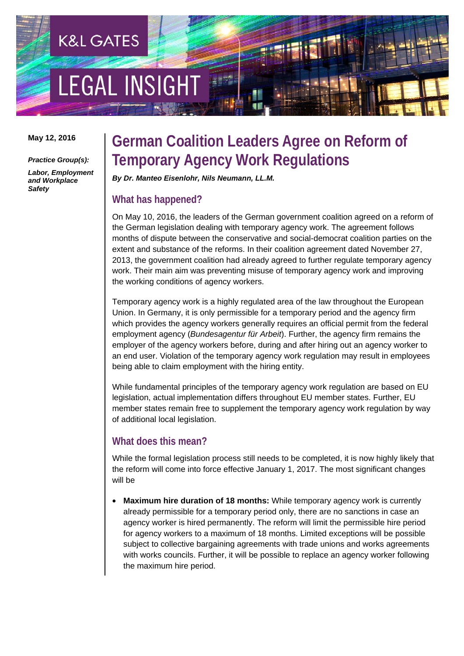# **LEGAL INSIGH**

**K&L GATES** 

**May 12, 2016** 

*Practice Group(s):* 

*Labor, Employment and Workplace Safety* 

### **German Coalition Leaders Agree on Reform of Temporary Agency Work Regulations**

*By Dr. Manteo Eisenlohr, Nils Neumann, LL.M.* 

#### **What has happened?**

On May 10, 2016, the leaders of the German government coalition agreed on a reform of the German legislation dealing with temporary agency work. The agreement follows months of dispute between the conservative and social-democrat coalition parties on the extent and substance of the reforms. In their coalition agreement dated November 27, 2013, the government coalition had already agreed to further regulate temporary agency work. Their main aim was preventing misuse of temporary agency work and improving the working conditions of agency workers.

Temporary agency work is a highly regulated area of the law throughout the European Union. In Germany, it is only permissible for a temporary period and the agency firm which provides the agency workers generally requires an official permit from the federal employment agency (*Bundesagentur für Arbeit*). Further, the agency firm remains the employer of the agency workers before, during and after hiring out an agency worker to an end user. Violation of the temporary agency work regulation may result in employees being able to claim employment with the hiring entity.

While fundamental principles of the temporary agency work regulation are based on EU legislation, actual implementation differs throughout EU member states. Further, EU member states remain free to supplement the temporary agency work regulation by way of additional local legislation.

#### **What does this mean?**

While the formal legislation process still needs to be completed, it is now highly likely that the reform will come into force effective January 1, 2017. The most significant changes will be

• **Maximum hire duration of 18 months:** While temporary agency work is currently already permissible for a temporary period only, there are no sanctions in case an agency worker is hired permanently. The reform will limit the permissible hire period for agency workers to a maximum of 18 months. Limited exceptions will be possible subject to collective bargaining agreements with trade unions and works agreements with works councils. Further, it will be possible to replace an agency worker following the maximum hire period.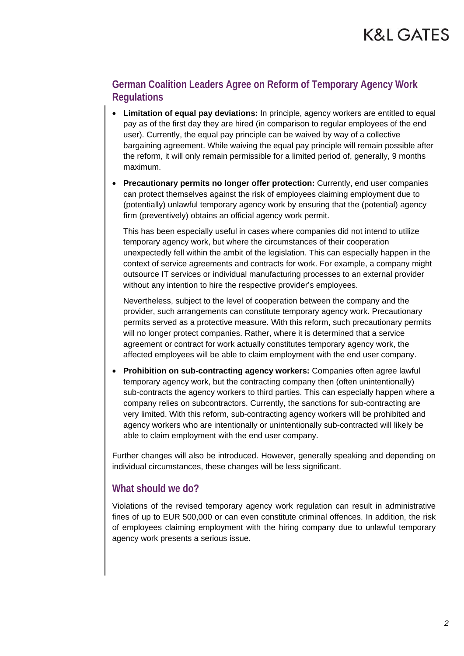#### **German Coalition Leaders Agree on Reform of Temporary Agency Work Regulations**

- **Limitation of equal pay deviations:** In principle, agency workers are entitled to equal pay as of the first day they are hired (in comparison to regular employees of the end user). Currently, the equal pay principle can be waived by way of a collective bargaining agreement. While waiving the equal pay principle will remain possible after the reform, it will only remain permissible for a limited period of, generally, 9 months maximum.
- **Precautionary permits no longer offer protection:** Currently, end user companies can protect themselves against the risk of employees claiming employment due to (potentially) unlawful temporary agency work by ensuring that the (potential) agency firm (preventively) obtains an official agency work permit.

This has been especially useful in cases where companies did not intend to utilize temporary agency work, but where the circumstances of their cooperation unexpectedly fell within the ambit of the legislation. This can especially happen in the context of service agreements and contracts for work. For example, a company might outsource IT services or individual manufacturing processes to an external provider without any intention to hire the respective provider's employees.

Nevertheless, subject to the level of cooperation between the company and the provider, such arrangements can constitute temporary agency work. Precautionary permits served as a protective measure. With this reform, such precautionary permits will no longer protect companies. Rather, where it is determined that a service agreement or contract for work actually constitutes temporary agency work, the affected employees will be able to claim employment with the end user company.

• **Prohibition on sub-contracting agency workers:** Companies often agree lawful temporary agency work, but the contracting company then (often unintentionally) sub-contracts the agency workers to third parties. This can especially happen where a company relies on subcontractors. Currently, the sanctions for sub-contracting are very limited. With this reform, sub-contracting agency workers will be prohibited and agency workers who are intentionally or unintentionally sub-contracted will likely be able to claim employment with the end user company.

Further changes will also be introduced. However, generally speaking and depending on individual circumstances, these changes will be less significant.

#### **What should we do?**

Violations of the revised temporary agency work regulation can result in administrative fines of up to EUR 500,000 or can even constitute criminal offences. In addition, the risk of employees claiming employment with the hiring company due to unlawful temporary agency work presents a serious issue.